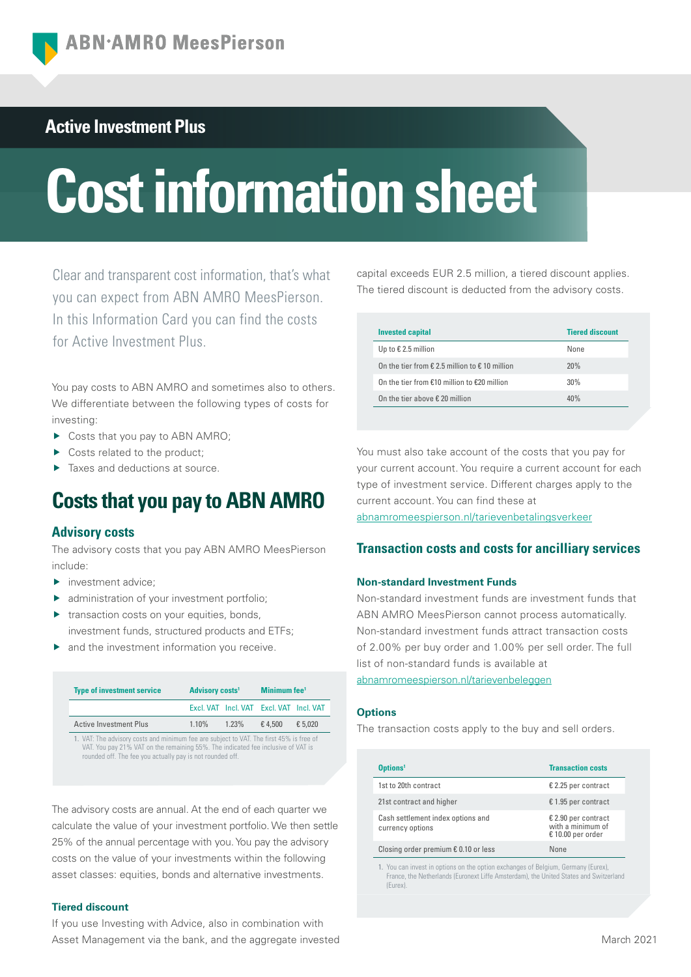# **Active Investment Plus**

# **Cost information sheet**

Clear and transparent cost information, that's what you can expect from ABN AMRO MeesPierson. In this Information Card you can find the costs for Active Investment Plus.

You pay costs to ABN AMRO and sometimes also to others. We differentiate between the following types of costs for investing:

- ▶ Costs that you pay to ABN AMRO;
- Costs related to the product;
- Taxes and deductions at source.

# **Costs that you pay to ABN AMRO**

## **Advisory costs**

The advisory costs that you pay ABN AMRO MeesPierson include:

- **investment advice;**
- **A** administration of your investment portfolio;
- **transaction costs on your equities, bonds,** investment funds, structured products and ETFs;
- $\blacktriangleright$  and the investment information you receive.

| <b>Type of investment service</b>                                                                                                                                                                                                        | <b>Advisory costs<sup>1</sup></b> |  | Minimum fee <sup>1</sup>                |         |
|------------------------------------------------------------------------------------------------------------------------------------------------------------------------------------------------------------------------------------------|-----------------------------------|--|-----------------------------------------|---------|
|                                                                                                                                                                                                                                          |                                   |  | Excl. VAT Incl. VAT Excl. VAT Incl. VAT |         |
| <b>Active Investment Plus</b>                                                                                                                                                                                                            | $1.10\%$ $1.23\%$                 |  | €4.500                                  | € 5.020 |
| 1. VAT: The advisory costs and minimum fee are subject to VAT. The first 45% is free of<br>VAT. You pay 21% VAT on the remaining 55%. The indicated fee inclusive of VAT is<br>rounded off. The fee you actually pay is not rounded off. |                                   |  |                                         |         |

The advisory costs are annual. At the end of each quarter we calculate the value of your investment portfolio. We then settle 25% of the annual percentage with you. You pay the advisory costs on the value of your investments within the following asset classes: equities, bonds and alternative investments.

#### **Tiered discount**

If you use Investing with Advice, also in combination with Asset Management via the bank, and the aggregate invested capital exceeds EUR 2.5 million, a tiered discount applies. The tiered discount is deducted from the advisory costs.

| <b>Invested capital</b>                                          | <b>Tiered discount</b> |
|------------------------------------------------------------------|------------------------|
| Up to $\epsilon$ 2.5 million                                     | None                   |
| On the tier from $\epsilon$ 2.5 million to $\epsilon$ 10 million | 20%                    |
| On the tier from €10 million to €20 million                      | 30%                    |
| On the tier above $\epsilon$ 20 million                          | 40%                    |

You must also take account of the costs that you pay for your current account. You require a current account for each type of investment service. Different charges apply to the current account. You can find these at [abnamromeespierson.nl/tarievenbetalingsverkeer](https://www.abnamro.nl/nl/privatebanking/betalen/tarieven.html)

## **Transaction costs and costs for ancilliary services**

#### **Non-standard Investment Funds**

Non-standard investment funds are investment funds that ABN AMRO MeesPierson cannot process automatically. Non-standard investment funds attract transaction costs of 2.00% per buy order and 1.00% per sell order. The full list of non-standard funds is available at

[abnamromeespierson.nl/tarievenbeleggen](https://www.abnamro.nl/nl/privatebanking/beleggen/tarieven.html)

#### **Options**

The transaction costs apply to the buy and sell orders.

| Options <sup>1</sup>                                  | <b>Transaction costs</b>                                        |
|-------------------------------------------------------|-----------------------------------------------------------------|
| 1st to 20th contract                                  | € 2.25 per contract                                             |
| 21st contract and higher                              | € 1.95 per contract                                             |
| Cash settlement index options and<br>currency options | $E$ 2.90 per contract<br>with a minimum of<br>€ 10.00 per order |
| Closing order premium $\epsilon$ 0.10 or less         | None                                                            |

1. You can invest in options on the option exchanges of Belgium, Germany (Eurex), France, the Netherlands (Euronext Liffe Amsterdam), the United States and Switzerland (Eurex).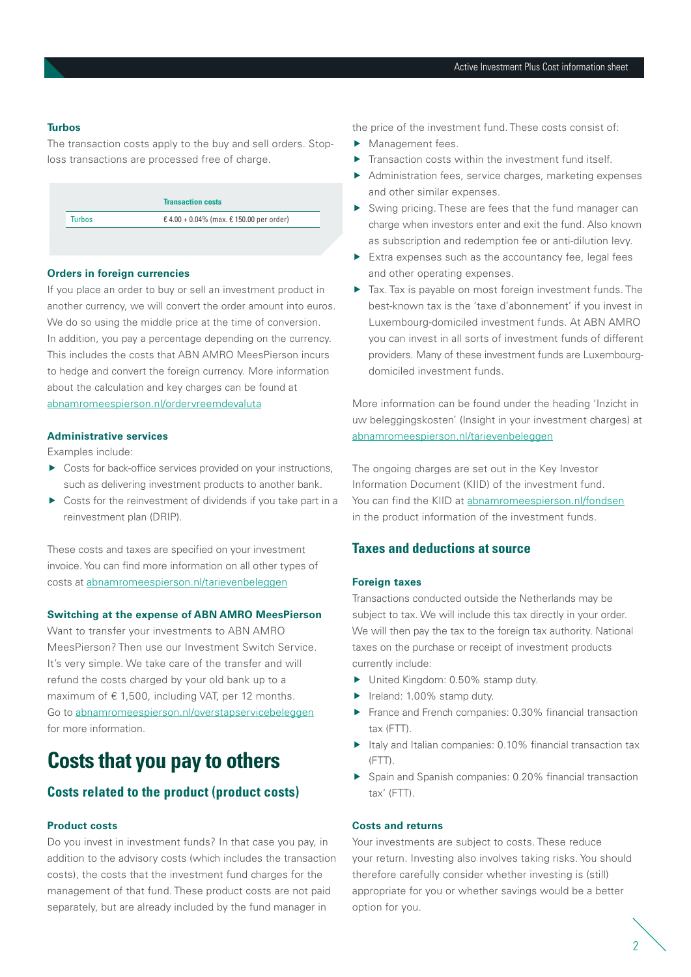#### **Turbos**

The transaction costs apply to the buy and sell orders. Stoploss transactions are processed free of charge.

|        | <b>Transaction costs</b>                 |
|--------|------------------------------------------|
| Turbos | € 4.00 + 0.04% (max. € 150.00 per order) |

#### **Orders in foreign currencies**

If you place an order to buy or sell an investment product in another currency, we will convert the order amount into euros. We do so using the middle price at the time of conversion. In addition, you pay a percentage depending on the currency. This includes the costs that ABN AMRO MeesPierson incurs to hedge and convert the foreign currency. More information about the calculation and key charges can be found at [abnamromeespierson.nl/ordervreemdevaluta](https://www.abnamro.nl/nl/prive/beleggen/service/beleggingsorders/voorbeeld.html)

#### **Administrative services**

Examples include:

- ▶ Costs for back-office services provided on your instructions, such as delivering investment products to another bank.
- Costs for the reinvestment of dividends if you take part in a reinvestment plan (DRIP).

These costs and taxes are specified on your investment invoice. You can find more information on all other types of costs at [abnamromeespierson.nl/tarievenbeleggen](https://www.abnamro.nl/nl/privatebanking/beleggen/tarieven.html)

#### **Switching at the expense of ABN AMRO MeesPierson**

Want to transfer your investments to ABN AMRO MeesPierson? Then use our Investment Switch Service. It's very simple. We take care of the transfer and will refund the costs charged by your old bank up to a maximum of  $\epsilon$  1,500, including VAT, per 12 months. Go to [abnamromeespierson.nl/overstapservicebeleggen](https://www.abnamro.nl/nl/prive/beleggen/service/overstapservice-beleggen/index.html) for more information.

# **Costs that you pay to others**

## **Costs related to the product (product costs)**

#### **Product costs**

Do you invest in investment funds? In that case you pay, in addition to the advisory costs (which includes the transaction costs), the costs that the investment fund charges for the management of that fund. These product costs are not paid separately, but are already included by the fund manager in

the price of the investment fund. These costs consist of:

- Management fees.
- Transaction costs within the investment fund itself.
- Administration fees, service charges, marketing expenses and other similar expenses.
- Swing pricing. These are fees that the fund manager can charge when investors enter and exit the fund. Also known as subscription and redemption fee or anti-dilution levy.
- Extra expenses such as the accountancy fee, legal fees and other operating expenses.
- Tax. Tax is payable on most foreign investment funds. The best-known tax is the 'taxe d'abonnement' if you invest in Luxembourg-domiciled investment funds. At ABN AMRO you can invest in all sorts of investment funds of different providers. Many of these investment funds are Luxembourgdomiciled investment funds.

More information can be found under the heading 'Inzicht in uw beleggingskosten' (Insight in your investment charges) at [abnamromeespierson.nl/tarievenbeleggen](https://www.abnamro.nl/nl/privatebanking/beleggen/tarieven.html)

The ongoing charges are set out in the Key Investor Information Document (KIID) of the investment fund. You can find the KIID at [abnamromeespierson.nl/fondsen](https://www.abnamro.nl/nl/prive/beleggen/koersinformatie/beleggingsfondsen.html) in the product information of the investment funds.

## **Taxes and deductions at source**

#### **Foreign taxes**

Transactions conducted outside the Netherlands may be subject to tax. We will include this tax directly in your order. We will then pay the tax to the foreign tax authority. National taxes on the purchase or receipt of investment products currently include:

- ▶ United Kingdom: 0.50% stamp duty.
- $\blacktriangleright$  Ireland: 1.00% stamp duty.
- France and French companies: 0.30% financial transaction tax (FTT).
- $\blacktriangleright$  Italy and Italian companies: 0.10% financial transaction tax (FTT).
- Spain and Spanish companies: 0.20% financial transaction tax' (FTT).

#### **Costs and returns**

Your investments are subject to costs. These reduce your return. Investing also involves taking risks. You should therefore carefully consider whether investing is (still) appropriate for you or whether savings would be a better option for you.